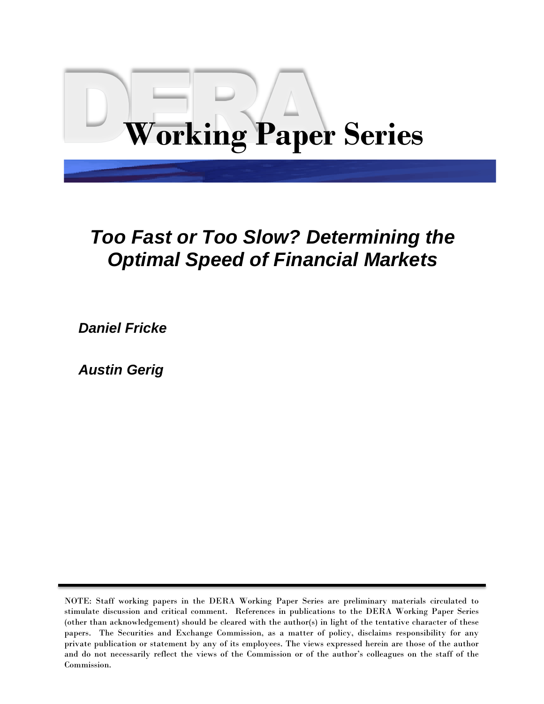# **Working Paper Series**

# *Too Fast or Too Slow? Determining the Optimal Speed of Financial Markets*

 *Daniel Fricke*

 *Austin Gerig*

NOTE: Staff working papers in the DERA Working Paper Series are preliminary materials circulated to stimulate discussion and critical comment. References in publications to the DERA Working Paper Series (other than acknowledgement) should be cleared with the author(s) in light of the tentative character of these papers. The Securities and Exchange Commission, as a matter of policy, disclaims responsibility for any private publication or statement by any of its employees. The views expressed herein are those of the author and do not necessarily reflect the views of the Commission or of the author's colleagues on the staff of the Commission.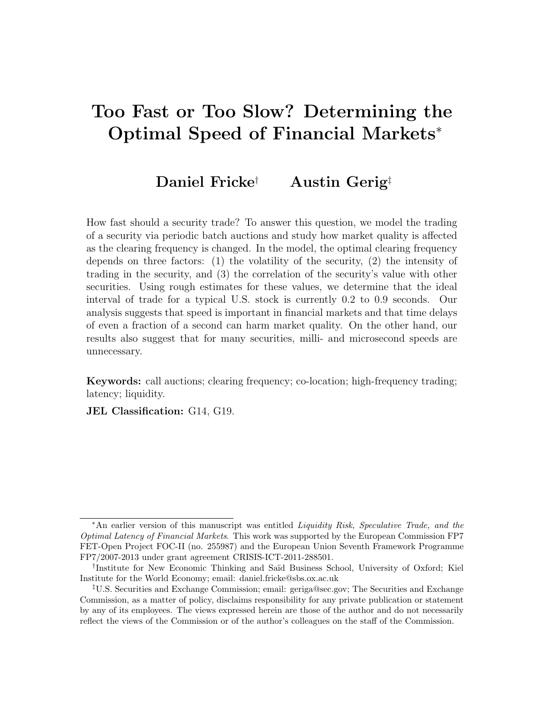# Too Fast or Too Slow? Determining the Optimal Speed of Financial Markets<sup>∗</sup>

# Daniel Fricke† Austin Gerig‡

How fast should a security trade? To answer this question, we model the trading of a security via periodic batch auctions and study how market quality is affected as the clearing frequency is changed. In the model, the optimal clearing frequency depends on three factors: (1) the volatility of the security, (2) the intensity of trading in the security, and (3) the correlation of the security's value with other securities. Using rough estimates for these values, we determine that the ideal interval of trade for a typical U.S. stock is currently 0.2 to 0.9 seconds. Our analysis suggests that speed is important in financial markets and that time delays of even a fraction of a second can harm market quality. On the other hand, our results also suggest that for many securities, milli- and microsecond speeds are unnecessary.

Keywords: call auctions; clearing frequency; co-location; high-frequency trading; latency; liquidity.

JEL Classification: G14, G19.

<sup>∗</sup>An earlier version of this manuscript was entitled Liquidity Risk, Speculative Trade, and the Optimal Latency of Financial Markets. This work was supported by the European Commission FP7 FET-Open Project FOC-II (no. 255987) and the European Union Seventh Framework Programme FP7/2007-2013 under grant agreement CRISIS-ICT-2011-288501.

<sup>&</sup>lt;sup>†</sup>Institute for New Economic Thinking and Saïd Business School, University of Oxford; Kiel Institute for the World Economy; email: daniel.fricke@sbs.ox.ac.uk

<sup>‡</sup>U.S. Securities and Exchange Commission; email: geriga@sec.gov; The Securities and Exchange Commission, as a matter of policy, disclaims responsibility for any private publication or statement by any of its employees. The views expressed herein are those of the author and do not necessarily reflect the views of the Commission or of the author's colleagues on the staff of the Commission.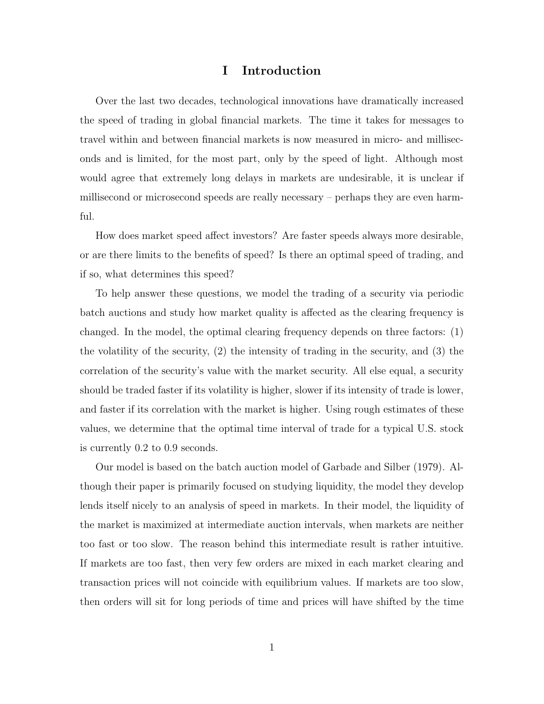# I Introduction

Over the last two decades, technological innovations have dramatically increased the speed of trading in global financial markets. The time it takes for messages to travel within and between financial markets is now measured in micro- and milliseconds and is limited, for the most part, only by the speed of light. Although most would agree that extremely long delays in markets are undesirable, it is unclear if millisecond or microsecond speeds are really necessary – perhaps they are even harmful.

How does market speed affect investors? Are faster speeds always more desirable, or are there limits to the benefits of speed? Is there an optimal speed of trading, and if so, what determines this speed?

To help answer these questions, we model the trading of a security via periodic batch auctions and study how market quality is affected as the clearing frequency is changed. In the model, the optimal clearing frequency depends on three factors: (1) the volatility of the security, (2) the intensity of trading in the security, and (3) the correlation of the security's value with the market security. All else equal, a security should be traded faster if its volatility is higher, slower if its intensity of trade is lower, and faster if its correlation with the market is higher. Using rough estimates of these values, we determine that the optimal time interval of trade for a typical U.S. stock is currently 0.2 to 0.9 seconds.

Our model is based on the batch auction model of Garbade and Silber (1979). Although their paper is primarily focused on studying liquidity, the model they develop lends itself nicely to an analysis of speed in markets. In their model, the liquidity of the market is maximized at intermediate auction intervals, when markets are neither too fast or too slow. The reason behind this intermediate result is rather intuitive. If markets are too fast, then very few orders are mixed in each market clearing and transaction prices will not coincide with equilibrium values. If markets are too slow, then orders will sit for long periods of time and prices will have shifted by the time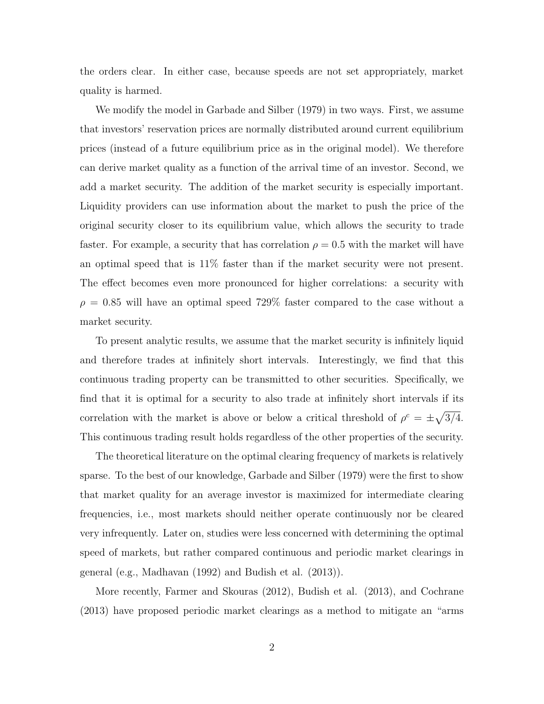the orders clear. In either case, because speeds are not set appropriately, market quality is harmed.

We modify the model in Garbade and Silber (1979) in two ways. First, we assume that investors' reservation prices are normally distributed around current equilibrium prices (instead of a future equilibrium price as in the original model). We therefore can derive market quality as a function of the arrival time of an investor. Second, we add a market security. The addition of the market security is especially important. Liquidity providers can use information about the market to push the price of the original security closer to its equilibrium value, which allows the security to trade faster. For example, a security that has correlation  $\rho = 0.5$  with the market will have an optimal speed that is 11% faster than if the market security were not present. The effect becomes even more pronounced for higher correlations: a security with  $\rho = 0.85$  will have an optimal speed 729% faster compared to the case without a market security.

To present analytic results, we assume that the market security is infinitely liquid and therefore trades at infinitely short intervals. Interestingly, we find that this continuous trading property can be transmitted to other securities. Specifically, we find that it is optimal for a security to also trade at infinitely short intervals if its correlation with the market is above or below a critical threshold of  $\rho^c = \pm \sqrt{3/4}$ . This continuous trading result holds regardless of the other properties of the security.

The theoretical literature on the optimal clearing frequency of markets is relatively sparse. To the best of our knowledge, Garbade and Silber (1979) were the first to show that market quality for an average investor is maximized for intermediate clearing frequencies, i.e., most markets should neither operate continuously nor be cleared very infrequently. Later on, studies were less concerned with determining the optimal speed of markets, but rather compared continuous and periodic market clearings in general (e.g., Madhavan (1992) and Budish et al. (2013)).

More recently, Farmer and Skouras (2012), Budish et al. (2013), and Cochrane (2013) have proposed periodic market clearings as a method to mitigate an "arms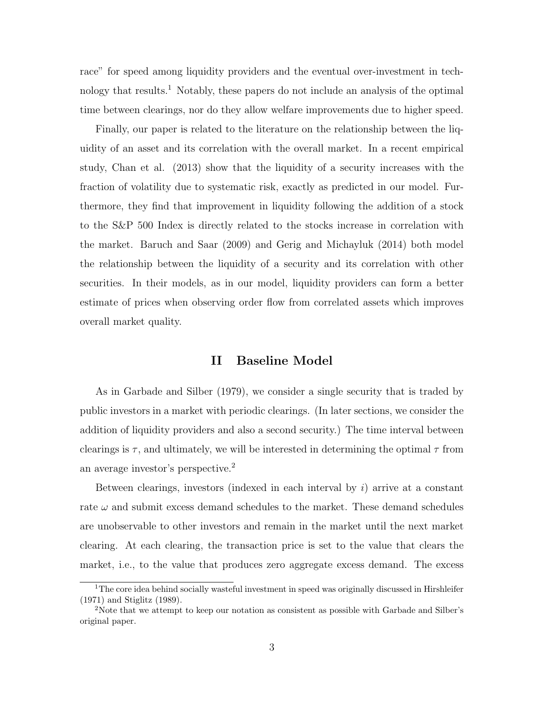race" for speed among liquidity providers and the eventual over-investment in technology that results.<sup>1</sup> Notably, these papers do not include an analysis of the optimal time between clearings, nor do they allow welfare improvements due to higher speed.

Finally, our paper is related to the literature on the relationship between the liquidity of an asset and its correlation with the overall market. In a recent empirical study, Chan et al. (2013) show that the liquidity of a security increases with the fraction of volatility due to systematic risk, exactly as predicted in our model. Furthermore, they find that improvement in liquidity following the addition of a stock to the S&P 500 Index is directly related to the stocks increase in correlation with the market. Baruch and Saar (2009) and Gerig and Michayluk (2014) both model the relationship between the liquidity of a security and its correlation with other securities. In their models, as in our model, liquidity providers can form a better estimate of prices when observing order flow from correlated assets which improves overall market quality.

# II Baseline Model

As in Garbade and Silber (1979), we consider a single security that is traded by public investors in a market with periodic clearings. (In later sections, we consider the addition of liquidity providers and also a second security.) The time interval between clearings is  $\tau$ , and ultimately, we will be interested in determining the optimal  $\tau$  from an average investor's perspective.<sup>2</sup>

Between clearings, investors (indexed in each interval by  $i$ ) arrive at a constant rate  $\omega$  and submit excess demand schedules to the market. These demand schedules are unobservable to other investors and remain in the market until the next market clearing. At each clearing, the transaction price is set to the value that clears the market, i.e., to the value that produces zero aggregate excess demand. The excess

<sup>&</sup>lt;sup>1</sup>The core idea behind socially wasteful investment in speed was originally discussed in Hirshleifer (1971) and Stiglitz (1989).

<sup>&</sup>lt;sup>2</sup>Note that we attempt to keep our notation as consistent as possible with Garbade and Silber's original paper.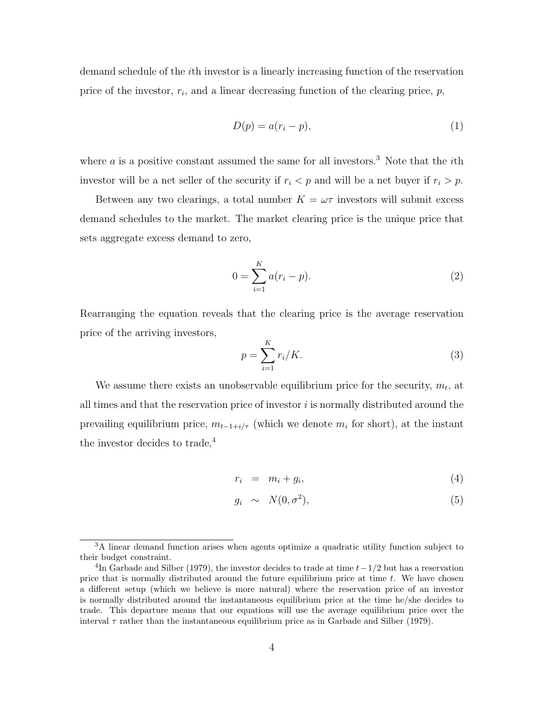demand schedule of the ith investor is a linearly increasing function of the reservation price of the investor,  $r_i$ , and a linear decreasing function of the clearing price,  $p$ ,

$$
D(p) = a(r_i - p),\tag{1}
$$

where  $\alpha$  is a positive constant assumed the same for all investors.<sup>3</sup> Note that the *i*th investor will be a net seller of the security if  $r_i < p$  and will be a net buyer if  $r_i > p$ .

Between any two clearings, a total number  $K = \omega \tau$  investors will submit excess demand schedules to the market. The market clearing price is the unique price that sets aggregate excess demand to zero,

$$
0 = \sum_{i=1}^{K} a(r_i - p).
$$
 (2)

Rearranging the equation reveals that the clearing price is the average reservation price of the arriving investors,

$$
p = \sum_{i=1}^{K} r_i/K.
$$
\n<sup>(3)</sup>

We assume there exists an unobservable equilibrium price for the security,  $m_t$ , at all times and that the reservation price of investor  $i$  is normally distributed around the prevailing equilibrium price,  $m_{t-1+i/\tau}$  (which we denote  $m_i$  for short), at the instant the investor decides to trade,<sup>4</sup>

$$
r_i = m_i + g_i,\tag{4}
$$

$$
g_i \sim N(0, \sigma^2), \tag{5}
$$

<sup>&</sup>lt;sup>3</sup>A linear demand function arises when agents optimize a quadratic utility function subject to their budget constraint.

<sup>&</sup>lt;sup>4</sup>In Garbade and Silber (1979), the investor decides to trade at time  $t-1/2$  but has a reservation price that is normally distributed around the future equilibrium price at time  $t$ . We have chosen a different setup (which we believe is more natural) where the reservation price of an investor is normally distributed around the instantaneous equilibrium price at the time he/she decides to trade. This departure means that our equations will use the average equilibrium price over the interval  $\tau$  rather than the instantaneous equilibrium price as in Garbade and Silber (1979).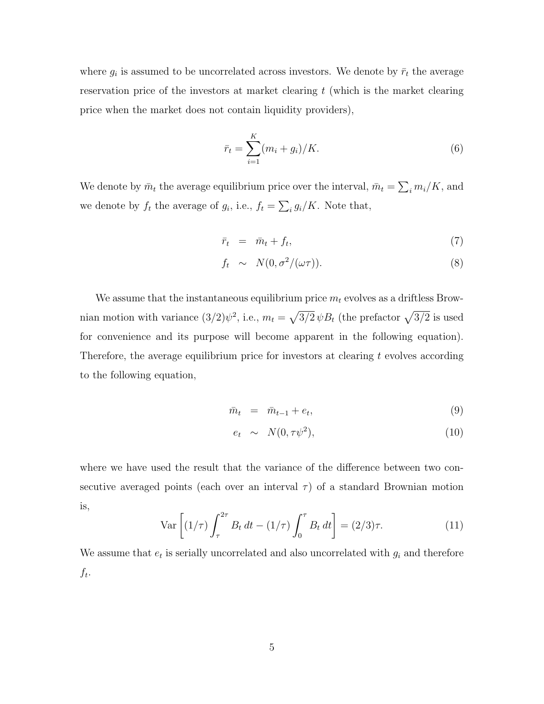where  $g_i$  is assumed to be uncorrelated across investors. We denote by  $\bar{r}_t$  the average reservation price of the investors at market clearing  $t$  (which is the market clearing price when the market does not contain liquidity providers),

$$
\bar{r}_t = \sum_{i=1}^{K} (m_i + g_i) / K. \tag{6}
$$

We denote by  $\bar{m}_t$  the average equilibrium price over the interval,  $\bar{m}_t = \sum_i m_i/K$ , and we denote by  $f_t$  the average of  $g_i$ , i.e.,  $f_t = \sum_i g_i/K$ . Note that,

$$
\bar{r}_t = \bar{m}_t + f_t,\tag{7}
$$

$$
f_t \sim N(0, \sigma^2/(\omega \tau)). \tag{8}
$$

We assume that the instantaneous equilibrium price  $m_t$  evolves as a driftless Brownian motion with variance  $(3/2)\psi^2$ , i.e.,  $m_t = \sqrt{3/2} \psi B_t$  (the prefactor  $\sqrt{3/2}$  is used for convenience and its purpose will become apparent in the following equation). Therefore, the average equilibrium price for investors at clearing  $t$  evolves according to the following equation,

$$
\bar{m}_t = \bar{m}_{t-1} + e_t,\tag{9}
$$

$$
e_t \sim N(0, \tau \psi^2), \tag{10}
$$

where we have used the result that the variance of the difference between two consecutive averaged points (each over an interval  $\tau$ ) of a standard Brownian motion is,

$$
\text{Var}\left[ (1/\tau) \int_{\tau}^{2\tau} B_t \, dt - (1/\tau) \int_0^{\tau} B_t \, dt \right] = (2/3)\tau. \tag{11}
$$

We assume that  $e_t$  is serially uncorrelated and also uncorrelated with  $g_i$  and therefore  $f_t$ .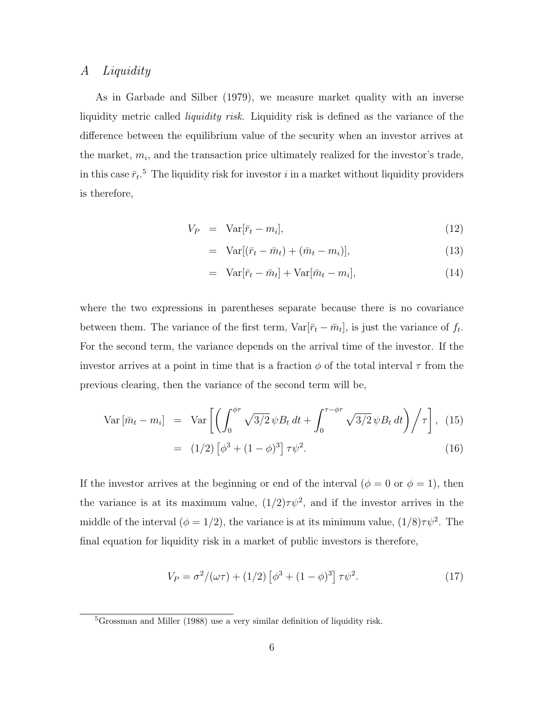# A Liquidity

As in Garbade and Silber (1979), we measure market quality with an inverse liquidity metric called *liquidity risk*. Liquidity risk is defined as the variance of the difference between the equilibrium value of the security when an investor arrives at the market,  $m_i$ , and the transaction price ultimately realized for the investor's trade, in this case  $\bar{r}_t$ <sup>5</sup>. The liquidity risk for investor i in a market without liquidity providers is therefore,

$$
V_P = \text{Var}[\bar{r}_t - m_i], \tag{12}
$$

$$
= \operatorname{Var}[(\bar{r}_t - \bar{m}_t) + (\bar{m}_t - m_i)], \qquad (13)
$$

$$
= \operatorname{Var}[\bar{r}_t - \bar{m}_t] + \operatorname{Var}[\bar{m}_t - m_i], \tag{14}
$$

where the two expressions in parentheses separate because there is no covariance between them. The variance of the first term,  $\text{Var}[\bar{r}_t - \bar{m}_t]$ , is just the variance of  $f_t$ . For the second term, the variance depends on the arrival time of the investor. If the investor arrives at a point in time that is a fraction  $\phi$  of the total interval  $\tau$  from the previous clearing, then the variance of the second term will be,

$$
\text{Var}\left[\bar{m}_t - m_i\right] = \text{Var}\left[\left(\int_0^{\phi\tau} \sqrt{3/2} \,\psi B_t \,dt + \int_0^{\tau - \phi\tau} \sqrt{3/2} \,\psi B_t \,dt\right) / \tau\right], \tag{15}
$$
\n
$$
= (1/2) \left[\phi^3 + (1 - \phi)^3\right] \tau \psi^2. \tag{16}
$$

If the investor arrives at the beginning or end of the interval ( $\phi = 0$  or  $\phi = 1$ ), then the variance is at its maximum value,  $(1/2)\tau\psi^2$ , and if the investor arrives in the middle of the interval  $(\phi = 1/2)$ , the variance is at its minimum value,  $(1/8)\tau\psi^2$ . The final equation for liquidity risk in a market of public investors is therefore,

$$
V_P = \sigma^2/(\omega \tau) + (1/2) \left[\phi^3 + (1 - \phi)^3\right] \tau \psi^2.
$$
 (17)

<sup>5</sup>Grossman and Miller (1988) use a very similar definition of liquidity risk.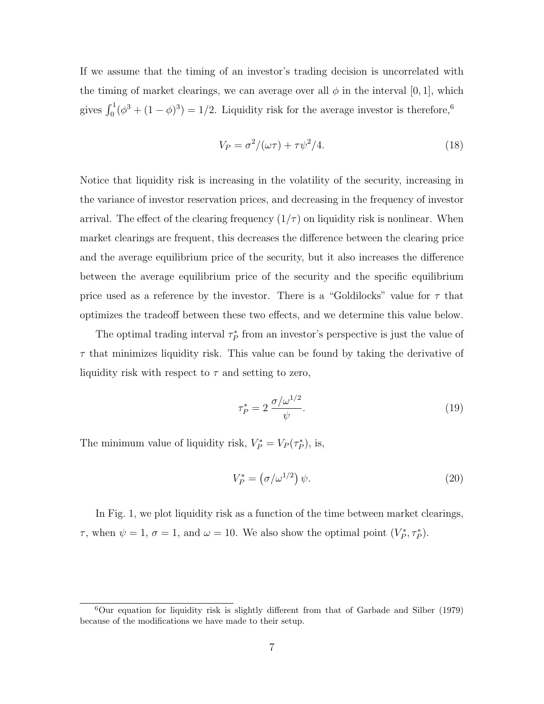If we assume that the timing of an investor's trading decision is uncorrelated with the timing of market clearings, we can average over all  $\phi$  in the interval [0, 1], which gives  $\int_0^1 (\phi^3 + (1 - \phi)^3) = 1/2$ . Liquidity risk for the average investor is therefore,<sup>6</sup>

$$
V_P = \sigma^2 / (\omega \tau) + \tau \psi^2 / 4. \tag{18}
$$

Notice that liquidity risk is increasing in the volatility of the security, increasing in the variance of investor reservation prices, and decreasing in the frequency of investor arrival. The effect of the clearing frequency  $(1/\tau)$  on liquidity risk is nonlinear. When market clearings are frequent, this decreases the difference between the clearing price and the average equilibrium price of the security, but it also increases the difference between the average equilibrium price of the security and the specific equilibrium price used as a reference by the investor. There is a "Goldilocks" value for  $\tau$  that optimizes the tradeoff between these two effects, and we determine this value below.

The optimal trading interval  $\tau_P^*$  from an investor's perspective is just the value of  $\tau$  that minimizes liquidity risk. This value can be found by taking the derivative of liquidity risk with respect to  $\tau$  and setting to zero,

$$
\tau_P^* = 2 \frac{\sigma/\omega^{1/2}}{\psi}.\tag{19}
$$

The minimum value of liquidity risk,  $V_P^* = V_P(\tau_P^*)$ , is,

$$
V_P^* = \left(\frac{\sigma}{\omega^{1/2}}\right)\psi. \tag{20}
$$

In Fig. 1, we plot liquidity risk as a function of the time between market clearings,  $\tau$ , when  $\psi = 1$ ,  $\sigma = 1$ , and  $\omega = 10$ . We also show the optimal point  $(V_P^*, \tau_P^*)$ .

 $6$ Our equation for liquidity risk is slightly different from that of Garbade and Silber (1979) because of the modifications we have made to their setup.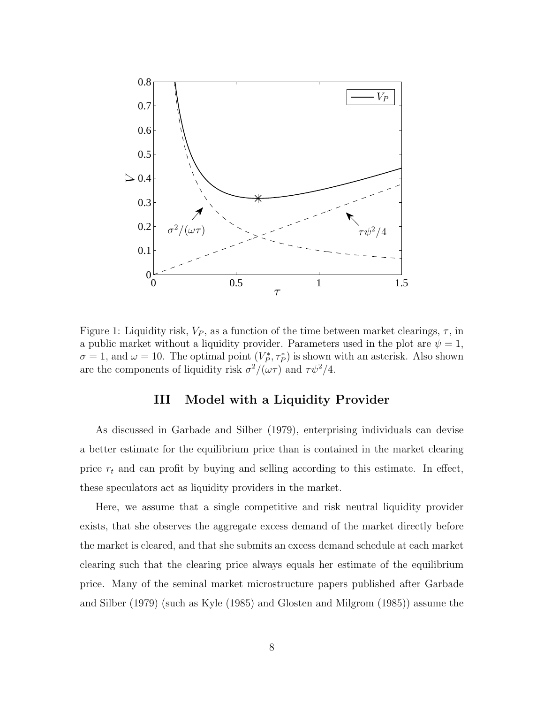

Figure 1: Liquidity risk,  $V_P$ , as a function of the time between market clearings,  $\tau$ , in a public market without a liquidity provider. Parameters used in the plot are  $\psi = 1$ ,  $\sigma = 1$ , and  $\omega = 10$ . The optimal point  $(V_P^*, \tau_P^*)$  is shown with an asterisk. Also shown are the components of liquidity risk  $\sigma^2/(\omega \tau)$  and  $\tau \psi^2/4$ .

# III Model with a Liquidity Provider

As discussed in Garbade and Silber (1979), enterprising individuals can devise a better estimate for the equilibrium price than is contained in the market clearing price  $r_t$  and can profit by buying and selling according to this estimate. In effect, these speculators act as liquidity providers in the market.

Here, we assume that a single competitive and risk neutral liquidity provider exists, that she observes the aggregate excess demand of the market directly before the market is cleared, and that she submits an excess demand schedule at each market clearing such that the clearing price always equals her estimate of the equilibrium price. Many of the seminal market microstructure papers published after Garbade and Silber (1979) (such as Kyle (1985) and Glosten and Milgrom (1985)) assume the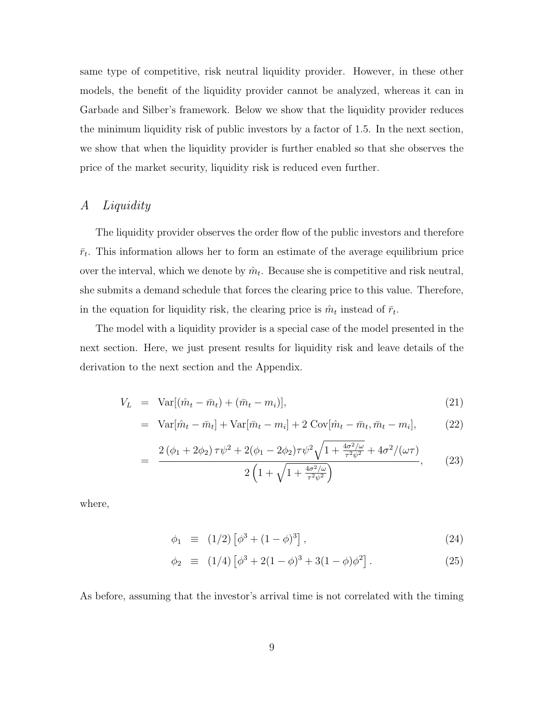same type of competitive, risk neutral liquidity provider. However, in these other models, the benefit of the liquidity provider cannot be analyzed, whereas it can in Garbade and Silber's framework. Below we show that the liquidity provider reduces the minimum liquidity risk of public investors by a factor of 1.5. In the next section, we show that when the liquidity provider is further enabled so that she observes the price of the market security, liquidity risk is reduced even further.

# A Liquidity

The liquidity provider observes the order flow of the public investors and therefore  $\bar{r}_t$ . This information allows her to form an estimate of the average equilibrium price over the interval, which we denote by  $\hat{m}_t$ . Because she is competitive and risk neutral, she submits a demand schedule that forces the clearing price to this value. Therefore, in the equation for liquidity risk, the clearing price is  $\hat{m}_t$  instead of  $\bar{r}_t$ .

The model with a liquidity provider is a special case of the model presented in the next section. Here, we just present results for liquidity risk and leave details of the derivation to the next section and the Appendix.

$$
V_L = \text{Var}[(\hat{m}_t - \bar{m}_t) + (\bar{m}_t - m_i)], \qquad (21)
$$

$$
= \operatorname{Var}[\hat{m}_t - \bar{m}_t] + \operatorname{Var}[\bar{m}_t - m_i] + 2 \operatorname{Cov}[\hat{m}_t - \bar{m}_t, \bar{m}_t - m_i], \tag{22}
$$

$$
= \frac{2(\phi_1 + 2\phi_2)\tau\psi^2 + 2(\phi_1 - 2\phi_2)\tau\psi^2\sqrt{1 + \frac{4\sigma^2/\omega}{\tau^2\psi^2} + 4\sigma^2/(\omega\tau)}}{2\left(1 + \sqrt{1 + \frac{4\sigma^2/\omega}{\tau^2\psi^2}}\right)},
$$
(23)

where,

$$
\phi_1 \equiv (1/2) \left[ \phi^3 + (1 - \phi)^3 \right], \tag{24}
$$

$$
\phi_2 \equiv (1/4) \left[ \phi^3 + 2(1 - \phi)^3 + 3(1 - \phi)\phi^2 \right]. \tag{25}
$$

As before, assuming that the investor's arrival time is not correlated with the timing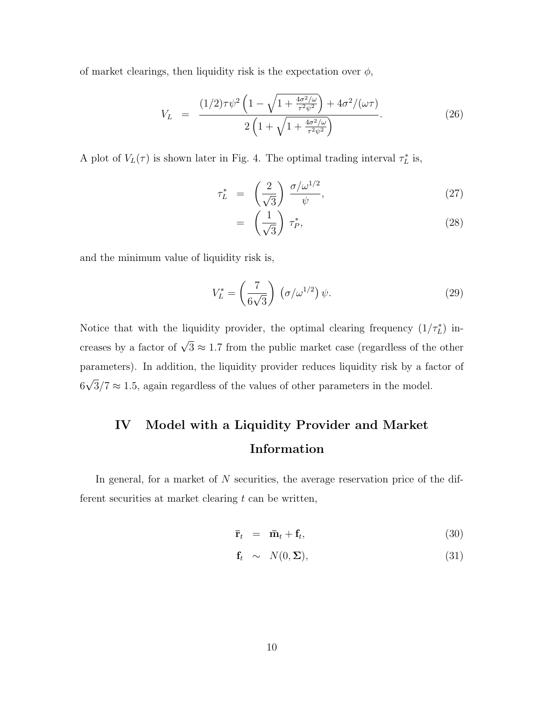of market clearings, then liquidity risk is the expectation over  $\phi$ ,

$$
V_L = \frac{(1/2)\tau \psi^2 \left(1 - \sqrt{1 + \frac{4\sigma^2/\omega}{\tau^2 \psi^2}}\right) + 4\sigma^2/(\omega \tau)}{2\left(1 + \sqrt{1 + \frac{4\sigma^2/\omega}{\tau^2 \psi^2}}\right)}.
$$
(26)

A plot of  $V_L(\tau)$  is shown later in Fig. 4. The optimal trading interval  $\tau_L^*$  is,

$$
\tau_L^* = \left(\frac{2}{\sqrt{3}}\right) \frac{\sigma/\omega^{1/2}}{\psi},\tag{27}
$$

$$
= \left(\frac{1}{\sqrt{3}}\right) \tau_P^*, \tag{28}
$$

and the minimum value of liquidity risk is,

$$
V_L^* = \left(\frac{7}{6\sqrt{3}}\right) \left(\sigma/\omega^{1/2}\right) \psi.
$$
 (29)

Notice that with the liquidity provider, the optimal clearing frequency  $(1/\tau_L^*)$  increases by a factor of  $\sqrt{3} \approx 1.7$  from the public market case (regardless of the other parameters). In addition, the liquidity provider reduces liquidity risk by a factor of 6 √  $3/7 \approx 1.5$ , again regardless of the values of other parameters in the model.

# IV Model with a Liquidity Provider and Market Information

In general, for a market of  $N$  securities, the average reservation price of the different securities at market clearing  $t$  can be written,

$$
\bar{\mathbf{r}}_t = \bar{\mathbf{m}}_t + \mathbf{f}_t, \tag{30}
$$

$$
\mathbf{f}_t \sim N(0, \Sigma), \tag{31}
$$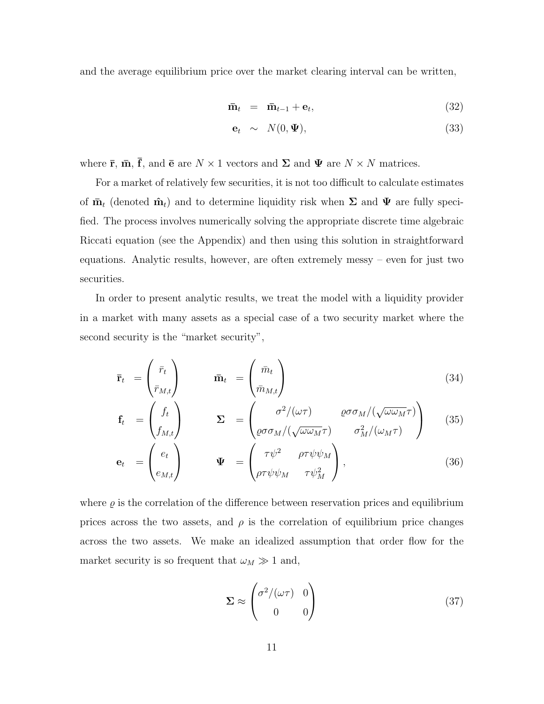and the average equilibrium price over the market clearing interval can be written,

$$
\bar{\mathbf{m}}_t = \bar{\mathbf{m}}_{t-1} + \mathbf{e}_t, \tag{32}
$$

$$
\mathbf{e}_t \sim N(0, \Psi), \tag{33}
$$

where  $\bar{\mathbf{r}}, \bar{\mathbf{m}}, \bar{\mathbf{f}},$  and  $\bar{\mathbf{e}}$  are  $N \times 1$  vectors and  $\Sigma$  and  $\Psi$  are  $N \times N$  matrices.

For a market of relatively few securities, it is not too difficult to calculate estimates of  $\bar{\mathbf{m}}_t$  (denoted  $\hat{\mathbf{m}}_t$ ) and to determine liquidity risk when  $\Sigma$  and  $\Psi$  are fully specified. The process involves numerically solving the appropriate discrete time algebraic Riccati equation (see the Appendix) and then using this solution in straightforward equations. Analytic results, however, are often extremely messy – even for just two securities.

In order to present analytic results, we treat the model with a liquidity provider in a market with many assets as a special case of a two security market where the second security is the "market security",

$$
\bar{\mathbf{r}}_t = \begin{pmatrix} \bar{r}_t \\ \bar{r}_{M,t} \end{pmatrix} \qquad \bar{\mathbf{m}}_t = \begin{pmatrix} \bar{m}_t \\ \bar{m}_{M,t} \end{pmatrix}
$$
(34)

$$
\mathbf{f}_t = \begin{pmatrix} f_t \\ f_{M,t} \end{pmatrix} \qquad \Sigma = \begin{pmatrix} \sigma^2/(\omega \tau) & \varrho \sigma \sigma_M/(\sqrt{\omega \omega_M} \tau) \\ \varrho \sigma \sigma_M/(\sqrt{\omega \omega_M} \tau) & \sigma_M^2/(\omega_M \tau) \end{pmatrix} \qquad (35)
$$

$$
\mathbf{e}_{t} = \begin{pmatrix} e_{t} \\ e_{M,t} \end{pmatrix} \qquad \mathbf{\Psi} = \begin{pmatrix} \tau \psi^{2} & \rho \tau \psi \psi_{M} \\ \rho \tau \psi \psi_{M} & \tau \psi_{M}^{2} \end{pmatrix}, \qquad (36)
$$

where  $\varrho$  is the correlation of the difference between reservation prices and equilibrium prices across the two assets, and  $\rho$  is the correlation of equilibrium price changes across the two assets. We make an idealized assumption that order flow for the market security is so frequent that  $\omega_M \gg 1$  and,

$$
\Sigma \approx \begin{pmatrix} \sigma^2/(\omega \tau) & 0\\ 0 & 0 \end{pmatrix}
$$
 (37)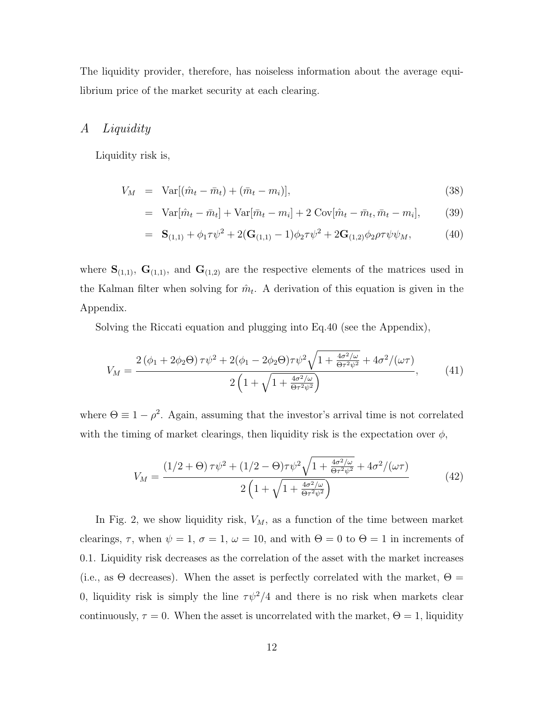The liquidity provider, therefore, has noiseless information about the average equilibrium price of the market security at each clearing.

# A Liquidity

Liquidity risk is,

$$
V_M = \text{Var}[(\hat{m}_t - \bar{m}_t) + (\bar{m}_t - m_i)], \qquad (38)
$$

$$
= \text{Var}[\hat{m}_t - \bar{m}_t] + \text{Var}[\bar{m}_t - m_i] + 2 \text{Cov}[\hat{m}_t - \bar{m}_t, \bar{m}_t - m_i], \quad (39)
$$

$$
= \mathbf{S}_{(1,1)} + \phi_1 \tau \psi^2 + 2(\mathbf{G}_{(1,1)} - 1)\phi_2 \tau \psi^2 + 2\mathbf{G}_{(1,2)}\phi_2 \rho \tau \psi \psi_M, \tag{40}
$$

where  $S_{(1,1)}$ ,  $G_{(1,1)}$ , and  $G_{(1,2)}$  are the respective elements of the matrices used in the Kalman filter when solving for  $\hat{m}_t$ . A derivation of this equation is given in the Appendix.

Solving the Riccati equation and plugging into Eq.40 (see the Appendix),

$$
V_M = \frac{2(\phi_1 + 2\phi_2 \Theta) \tau \psi^2 + 2(\phi_1 - 2\phi_2 \Theta) \tau \psi^2 \sqrt{1 + \frac{4\sigma^2/\omega}{\Theta \tau^2 \psi^2} + 4\sigma^2/(\omega \tau)}}{2\left(1 + \sqrt{1 + \frac{4\sigma^2/\omega}{\Theta \tau^2 \psi^2}}\right)},
$$
(41)

where  $\Theta \equiv 1 - \rho^2$ . Again, assuming that the investor's arrival time is not correlated with the timing of market clearings, then liquidity risk is the expectation over  $\phi$ ,

$$
V_M = \frac{(1/2 + \Theta)\tau\psi^2 + (1/2 - \Theta)\tau\psi^2\sqrt{1 + \frac{4\sigma^2/\omega}{\Theta\tau^2\psi^2} + 4\sigma^2/(\omega\tau)}}{2\left(1 + \sqrt{1 + \frac{4\sigma^2/\omega}{\Theta\tau^2\psi^2}}\right)}
$$
(42)

In Fig. 2, we show liquidity risk,  $V_M$ , as a function of the time between market clearings,  $\tau$ , when  $\psi = 1$ ,  $\sigma = 1$ ,  $\omega = 10$ , and with  $\Theta = 0$  to  $\Theta = 1$  in increments of 0.1. Liquidity risk decreases as the correlation of the asset with the market increases (i.e., as  $\Theta$  decreases). When the asset is perfectly correlated with the market,  $\Theta =$ 0, liquidity risk is simply the line  $\tau \psi^2/4$  and there is no risk when markets clear continuously,  $\tau = 0$ . When the asset is uncorrelated with the market,  $\Theta = 1$ , liquidity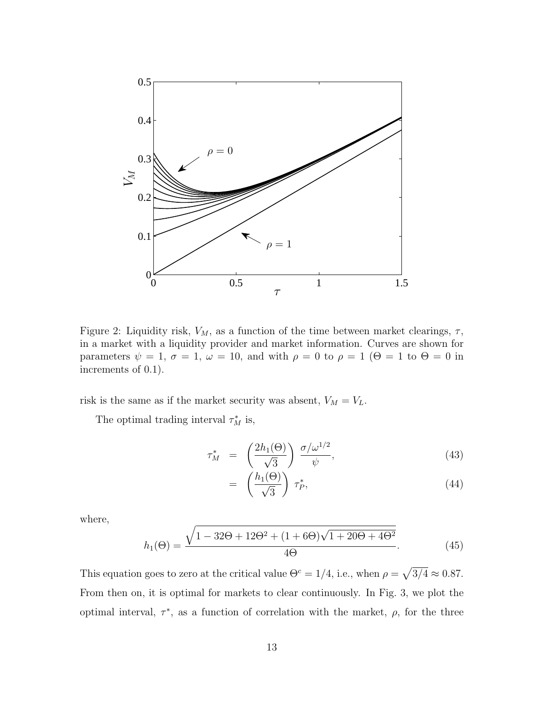

Figure 2: Liquidity risk,  $V_M$ , as a function of the time between market clearings,  $\tau$ , in a market with a liquidity provider and market information. Curves are shown for parameters  $\psi = 1$ ,  $\sigma = 1$ ,  $\omega = 10$ , and with  $\rho = 0$  to  $\rho = 1$  ( $\Theta = 1$  to  $\Theta = 0$  in increments of 0.1).

risk is the same as if the market security was absent,  $V_M = V_L$ .

The optimal trading interval  $\tau_M^*$  is,

$$
\tau_M^* = \left(\frac{2h_1(\Theta)}{\sqrt{3}}\right) \frac{\sigma/\omega^{1/2}}{\psi},\tag{43}
$$

$$
= \left(\frac{h_1(\Theta)}{\sqrt{3}}\right) \tau_P^*, \tag{44}
$$

where,

$$
h_1(\Theta) = \frac{\sqrt{1 - 32\Theta + 12\Theta^2 + (1 + 6\Theta)\sqrt{1 + 20\Theta + 4\Theta^2}}}{4\Theta}.
$$
 (45)

This equation goes to zero at the critical value  $\Theta^c = 1/4$ , i.e., when  $\rho = \sqrt{3/4} \approx 0.87$ . From then on, it is optimal for markets to clear continuously. In Fig. 3, we plot the optimal interval,  $\tau^*$ , as a function of correlation with the market,  $\rho$ , for the three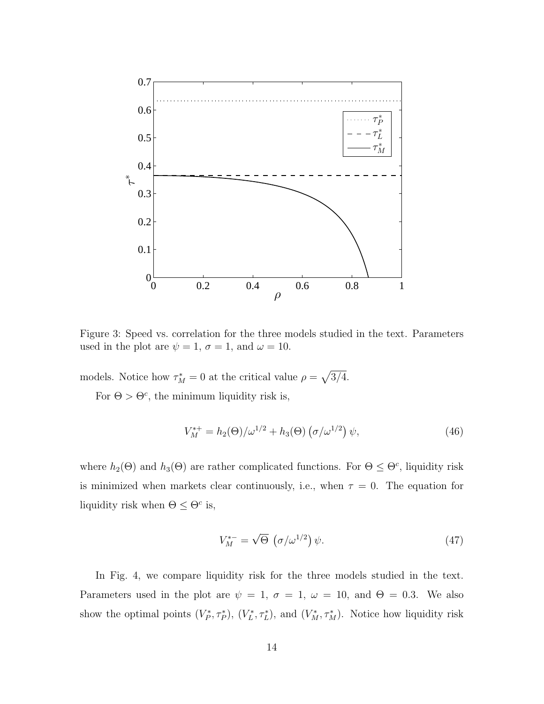

Figure 3: Speed vs. correlation for the three models studied in the text. Parameters used in the plot are  $\psi = 1$ ,  $\sigma = 1$ , and  $\omega = 10$ .

models. Notice how  $\tau_M^* = 0$  at the critical value  $\rho = \sqrt{3/4}$ .

For  $\Theta > \Theta^c$ , the minimum liquidity risk is,

$$
V_M^{*+} = h_2(\Theta)/\omega^{1/2} + h_3(\Theta) \left(\sigma/\omega^{1/2}\right) \psi,
$$
\n(46)

where  $h_2(\Theta)$  and  $h_3(\Theta)$  are rather complicated functions. For  $\Theta \leq \Theta^c$ , liquidity risk is minimized when markets clear continuously, i.e., when  $\tau = 0$ . The equation for liquidity risk when  $\Theta \leq \Theta^c$  is,

$$
V_M^{*-} = \sqrt{\Theta} \, \left( \sigma / \omega^{1/2} \right) \psi. \tag{47}
$$

In Fig. 4, we compare liquidity risk for the three models studied in the text. Parameters used in the plot are  $\psi = 1$ ,  $\sigma = 1$ ,  $\omega = 10$ , and  $\Theta = 0.3$ . We also show the optimal points  $(V_P^*, \tau_P^*)$ ,  $(V_L^*, \tau_L^*)$ , and  $(V_M^*, \tau_M^*)$ . Notice how liquidity risk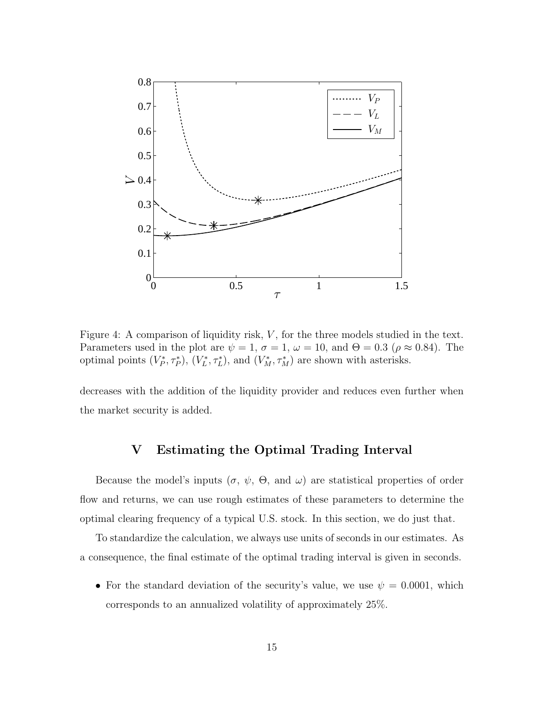

Figure 4: A comparison of liquidity risk, V, for the three models studied in the text. Parameters used in the plot are  $\psi = 1$ ,  $\sigma = 1$ ,  $\omega = 10$ , and  $\Theta = 0.3$  ( $\rho \approx 0.84$ ). The optimal points  $(V_P^*, \tau_P^*)$ ,  $(V_L^*, \tau_L^*)$ , and  $(V_M^*, \tau_M^*)$  are shown with asterisks.

decreases with the addition of the liquidity provider and reduces even further when the market security is added.

# V Estimating the Optimal Trading Interval

Because the model's inputs  $(\sigma, \psi, \Theta, \text{ and } \omega)$  are statistical properties of order flow and returns, we can use rough estimates of these parameters to determine the optimal clearing frequency of a typical U.S. stock. In this section, we do just that.

To standardize the calculation, we always use units of seconds in our estimates. As a consequence, the final estimate of the optimal trading interval is given in seconds.

• For the standard deviation of the security's value, we use  $\psi = 0.0001$ , which corresponds to an annualized volatility of approximately 25%.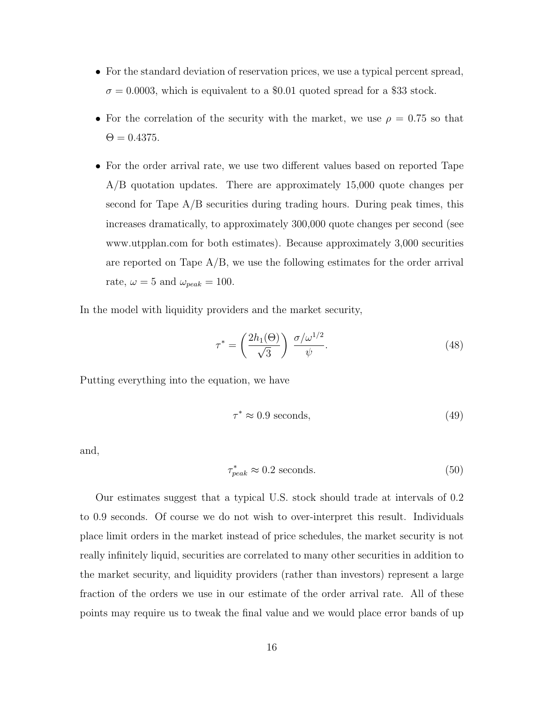- For the standard deviation of reservation prices, we use a typical percent spread,  $\sigma = 0.0003$ , which is equivalent to a \$0.01 quoted spread for a \$33 stock.
- For the correlation of the security with the market, we use  $\rho = 0.75$  so that  $\Theta = 0.4375$ .
- For the order arrival rate, we use two different values based on reported Tape A/B quotation updates. There are approximately 15,000 quote changes per second for Tape  $A/B$  securities during trading hours. During peak times, this increases dramatically, to approximately 300,000 quote changes per second (see www.utpplan.com for both estimates). Because approximately 3,000 securities are reported on Tape  $A/B$ , we use the following estimates for the order arrival rate,  $\omega = 5$  and  $\omega_{peak} = 100$ .

In the model with liquidity providers and the market security,

$$
\tau^* = \left(\frac{2h_1(\Theta)}{\sqrt{3}}\right) \frac{\sigma/\omega^{1/2}}{\psi}.\tag{48}
$$

Putting everything into the equation, we have

$$
\tau^* \approx 0.9 \text{ seconds},\tag{49}
$$

and,

$$
\tau_{peak}^* \approx 0.2 \text{ seconds.} \tag{50}
$$

Our estimates suggest that a typical U.S. stock should trade at intervals of 0.2 to 0.9 seconds. Of course we do not wish to over-interpret this result. Individuals place limit orders in the market instead of price schedules, the market security is not really infinitely liquid, securities are correlated to many other securities in addition to the market security, and liquidity providers (rather than investors) represent a large fraction of the orders we use in our estimate of the order arrival rate. All of these points may require us to tweak the final value and we would place error bands of up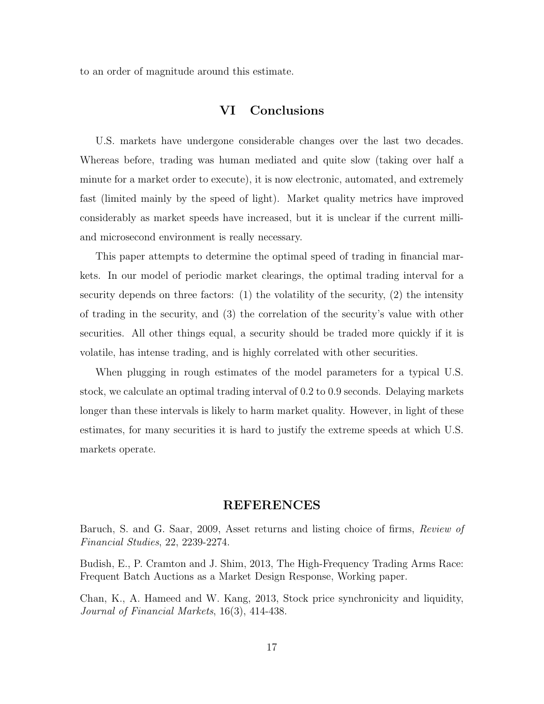to an order of magnitude around this estimate.

# VI Conclusions

U.S. markets have undergone considerable changes over the last two decades. Whereas before, trading was human mediated and quite slow (taking over half a minute for a market order to execute), it is now electronic, automated, and extremely fast (limited mainly by the speed of light). Market quality metrics have improved considerably as market speeds have increased, but it is unclear if the current milliand microsecond environment is really necessary.

This paper attempts to determine the optimal speed of trading in financial markets. In our model of periodic market clearings, the optimal trading interval for a security depends on three factors: (1) the volatility of the security, (2) the intensity of trading in the security, and (3) the correlation of the security's value with other securities. All other things equal, a security should be traded more quickly if it is volatile, has intense trading, and is highly correlated with other securities.

When plugging in rough estimates of the model parameters for a typical U.S. stock, we calculate an optimal trading interval of 0.2 to 0.9 seconds. Delaying markets longer than these intervals is likely to harm market quality. However, in light of these estimates, for many securities it is hard to justify the extreme speeds at which U.S. markets operate.

### REFERENCES

Baruch, S. and G. Saar, 2009, Asset returns and listing choice of firms, Review of Financial Studies, 22, 2239-2274.

Budish, E., P. Cramton and J. Shim, 2013, The High-Frequency Trading Arms Race: Frequent Batch Auctions as a Market Design Response, Working paper.

Chan, K., A. Hameed and W. Kang, 2013, Stock price synchronicity and liquidity, Journal of Financial Markets, 16(3), 414-438.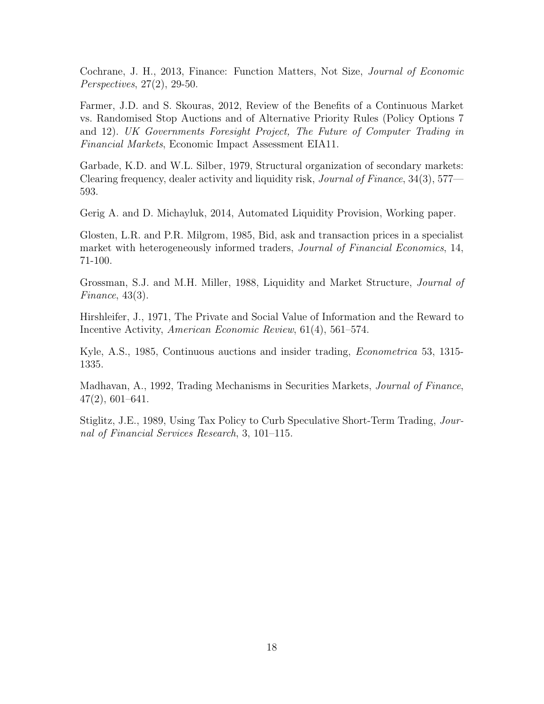Cochrane, J. H., 2013, Finance: Function Matters, Not Size, Journal of Economic Perspectives, 27(2), 29-50.

Farmer, J.D. and S. Skouras, 2012, Review of the Benefits of a Continuous Market vs. Randomised Stop Auctions and of Alternative Priority Rules (Policy Options 7 and 12). UK Governments Foresight Project, The Future of Computer Trading in Financial Markets, Economic Impact Assessment EIA11.

Garbade, K.D. and W.L. Silber, 1979, Structural organization of secondary markets: Clearing frequency, dealer activity and liquidity risk, Journal of Finance, 34(3), 577— 593.

Gerig A. and D. Michayluk, 2014, Automated Liquidity Provision, Working paper.

Glosten, L.R. and P.R. Milgrom, 1985, Bid, ask and transaction prices in a specialist market with heterogeneously informed traders, *Journal of Financial Economics*, 14, 71-100.

Grossman, S.J. and M.H. Miller, 1988, Liquidity and Market Structure, Journal of Finance, 43(3).

Hirshleifer, J., 1971, The Private and Social Value of Information and the Reward to Incentive Activity, American Economic Review, 61(4), 561–574.

Kyle, A.S., 1985, Continuous auctions and insider trading, *Econometrica* 53, 1315-1335.

Madhavan, A., 1992, Trading Mechanisms in Securities Markets, Journal of Finance, 47(2), 601–641.

Stiglitz, J.E., 1989, Using Tax Policy to Curb Speculative Short-Term Trading, Journal of Financial Services Research, 3, 101–115.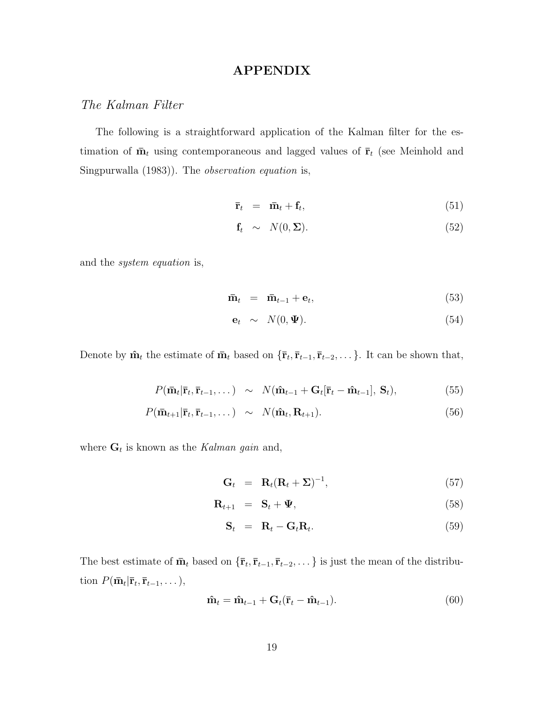# APPENDIX

# The Kalman Filter

The following is a straightforward application of the Kalman filter for the estimation of  $\bar{\mathbf{m}}_t$  using contemporaneous and lagged values of  $\bar{\mathbf{r}}_t$  (see Meinhold and Singpurwalla (1983)). The observation equation is,

$$
\bar{\mathbf{r}}_t = \bar{\mathbf{m}}_t + \mathbf{f}_t, \tag{51}
$$

$$
\mathbf{f}_t \sim N(0, \Sigma). \tag{52}
$$

and the system equation is,

$$
\bar{\mathbf{m}}_t = \bar{\mathbf{m}}_{t-1} + \mathbf{e}_t, \tag{53}
$$

$$
\mathbf{e}_t \sim N(0, \Psi). \tag{54}
$$

Denote by  $\hat{\mathbf{m}}_t$  the estimate of  $\bar{\mathbf{m}}_t$  based on  $\{\bar{\mathbf{r}}_t, \bar{\mathbf{r}}_{t-1}, \bar{\mathbf{r}}_{t-2}, \dots\}$ . It can be shown that,

$$
P(\mathbf{\bar{m}}_t|\mathbf{\bar{r}}_t, \mathbf{\bar{r}}_{t-1}, \dots) \sim N(\mathbf{\hat{m}}_{t-1} + \mathbf{G}_t[\mathbf{\bar{r}}_t - \mathbf{\hat{m}}_{t-1}], \mathbf{S}_t),
$$
\n(55)

$$
P(\mathbf{\bar{m}}_{t+1}|\mathbf{\bar{r}}_t, \mathbf{\bar{r}}_{t-1}, \dots) \sim N(\mathbf{\hat{m}}_t, \mathbf{R}_{t+1}). \tag{56}
$$

where  $\mathbf{G}_t$  is known as the Kalman gain and,

$$
\mathbf{G}_t = \mathbf{R}_t (\mathbf{R}_t + \Sigma)^{-1}, \tag{57}
$$

$$
\mathbf{R}_{t+1} = \mathbf{S}_t + \mathbf{\Psi}, \tag{58}
$$

$$
\mathbf{S}_t = \mathbf{R}_t - \mathbf{G}_t \mathbf{R}_t. \tag{59}
$$

The best estimate of  $\bar{\mathbf{m}}_t$  based on  $\{\bar{\mathbf{r}}_t, \bar{\mathbf{r}}_{t-1}, \bar{\mathbf{r}}_{t-2}, \dots\}$  is just the mean of the distribution  $P(\bar{\mathbf{m}}_t | \bar{\mathbf{r}}_t, \bar{\mathbf{r}}_{t-1}, \dots),$ 

$$
\hat{\mathbf{m}}_t = \hat{\mathbf{m}}_{t-1} + \mathbf{G}_t (\bar{\mathbf{r}}_t - \hat{\mathbf{m}}_{t-1}). \tag{60}
$$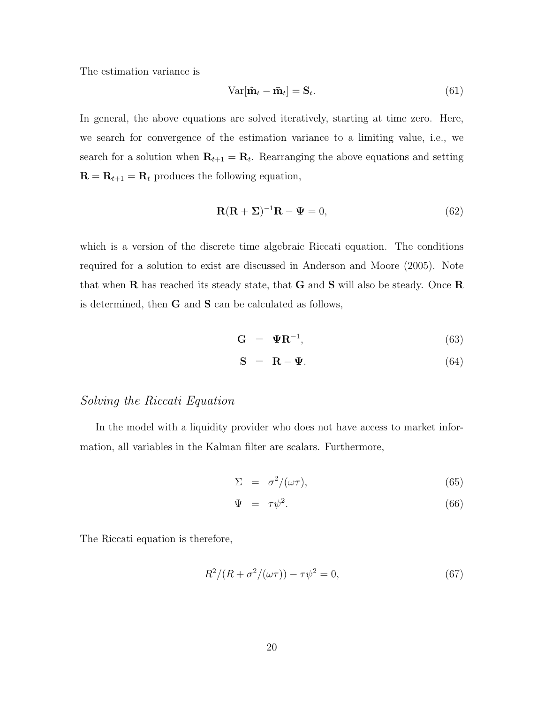The estimation variance is

$$
Var[\hat{\mathbf{m}}_t - \bar{\mathbf{m}}_t] = \mathbf{S}_t.
$$
\n(61)

In general, the above equations are solved iteratively, starting at time zero. Here, we search for convergence of the estimation variance to a limiting value, i.e., we search for a solution when  $\mathbf{R}_{t+1} = \mathbf{R}_t$ . Rearranging the above equations and setting  $\mathbf{R} = \mathbf{R}_{t+1} = \mathbf{R}_t$  produces the following equation,

$$
\mathbf{R}(\mathbf{R} + \Sigma)^{-1}\mathbf{R} - \mathbf{\Psi} = 0, \tag{62}
$$

which is a version of the discrete time algebraic Riccati equation. The conditions required for a solution to exist are discussed in Anderson and Moore (2005). Note that when  $\bf R$  has reached its steady state, that  $\bf G$  and  $\bf S$  will also be steady. Once  $\bf R$ is determined, then G and S can be calculated as follows,

$$
\mathbf{G} = \mathbf{\Psi} \mathbf{R}^{-1},\tag{63}
$$

$$
\mathbf{S} = \mathbf{R} - \mathbf{\Psi}.\tag{64}
$$

# Solving the Riccati Equation

In the model with a liquidity provider who does not have access to market information, all variables in the Kalman filter are scalars. Furthermore,

$$
\Sigma = \sigma^2/(\omega \tau), \tag{65}
$$

$$
\Psi = \tau \psi^2. \tag{66}
$$

The Riccati equation is therefore,

$$
R^{2}/(R + \sigma^{2}/(\omega \tau)) - \tau \psi^{2} = 0,
$$
\n(67)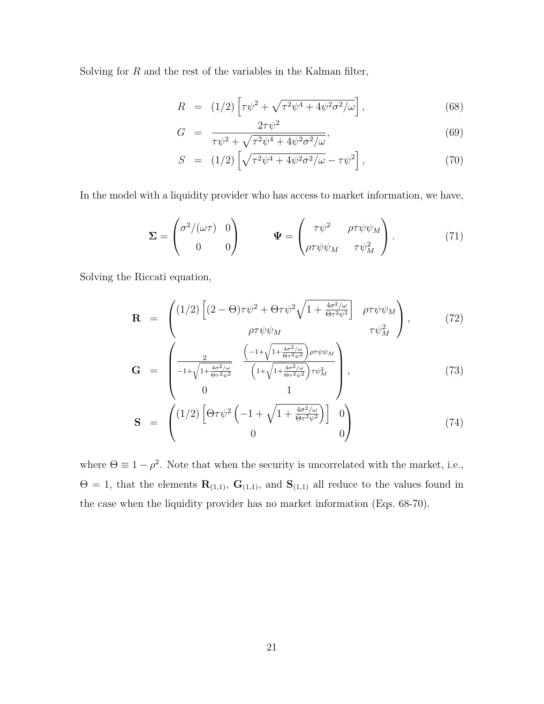Solving for  $R$  and the rest of the variables in the Kalman filter,

$$
R = (1/2) \left[ \tau \psi^2 + \sqrt{\tau^2 \psi^4 + 4\psi^2 \sigma^2/\omega} \right],
$$
\n(68)

$$
G = \frac{2\tau\psi^2}{\tau\psi^2 + \sqrt{\tau^2\psi^4 + 4\psi^2\sigma^2/\omega}},\tag{69}
$$

$$
S = (1/2) \left[ \sqrt{\tau^2 \psi^4 + 4 \psi^2 \sigma^2 / \omega} - \tau \psi^2 \right],
$$
 (70)

In the model with a liquidity provider who has access to market information, we have,

$$
\Sigma = \begin{pmatrix} \sigma^2/(\omega \tau) & 0 \\ 0 & 0 \end{pmatrix} \qquad \Psi = \begin{pmatrix} \tau \psi^2 & \rho \tau \psi \psi_M \\ \rho \tau \psi \psi_M & \tau \psi_M^2 \end{pmatrix} . \tag{71}
$$

Solving the Riccati equation,

$$
\mathbf{R} = \begin{pmatrix} (1/2) \left[ (2 - \Theta) \tau \psi^2 + \Theta \tau \psi^2 \sqrt{1 + \frac{4\sigma^2/\omega}{\Theta \tau^2 \psi^2}} \right] & \rho \tau \psi \psi_M \\ \rho \tau \psi \psi_M & \tau \psi_M^2 \end{pmatrix}, \quad (72)
$$

$$
\mathbf{G} = \begin{pmatrix} \frac{2}{-1+\sqrt{1+\frac{4\sigma^2/\omega}{\Theta\tau^2\psi^2}}} & \frac{\left(-1+\sqrt{1+\frac{4\sigma^2/\omega}{\Theta\tau^2\psi^2}}\right)\rho\tau\psi\psi_M}{\left(1+\sqrt{1+\frac{4\sigma^2/\omega}{\Theta\tau^2\psi^2}}\right)\tau\psi_M^2} \\ 0 & 1 \end{pmatrix},
$$
(73)

$$
\mathbf{S} = \begin{pmatrix} (1/2) \left[ \Theta \tau \psi^2 \left( -1 + \sqrt{1 + \frac{4\sigma^2/\omega}{\Theta \tau^2 \psi^2}} \right) \right] & 0 \\ 0 & 0 \end{pmatrix}
$$
(74)

where  $\Theta \equiv 1 - \rho^2$ . Note that when the security is uncorrelated with the market, i.e.,  $\Theta = 1$ , that the elements  $\mathbf{R}_{(1,1)}$ ,  $\mathbf{G}_{(1,1)}$ , and  $\mathbf{S}_{(1,1)}$  all reduce to the values found in the case when the liquidity provider has no market information (Eqs. 68-70).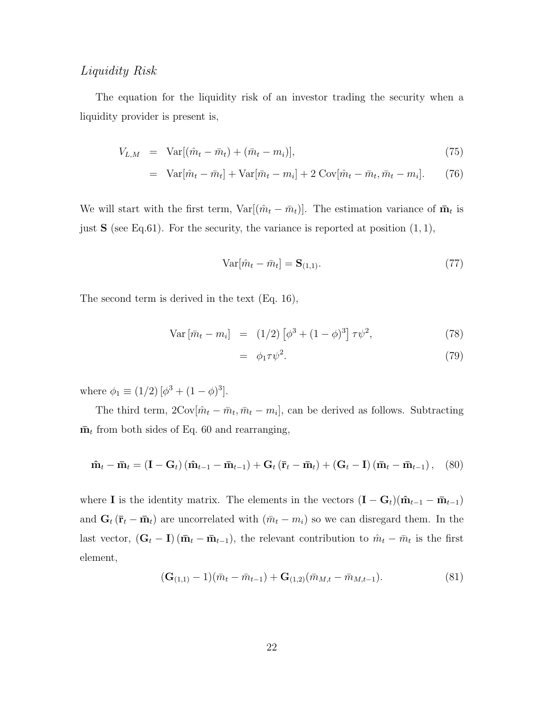# Liquidity Risk

The equation for the liquidity risk of an investor trading the security when a liquidity provider is present is,

$$
V_{L,M} = \text{Var}[(\hat{m}_t - \bar{m}_t) + (\bar{m}_t - m_i)], \qquad (75)
$$

$$
= \operatorname{Var}[\hat{m}_t - \bar{m}_t] + \operatorname{Var}[\bar{m}_t - m_i] + 2 \operatorname{Cov}[\hat{m}_t - \bar{m}_t, \bar{m}_t - m_i]. \tag{76}
$$

We will start with the first term,  $Var[(\hat{m}_t - \bar{m}_t)]$ . The estimation variance of  $\bar{m}_t$  is just  $S$  (see Eq.61). For the security, the variance is reported at position  $(1, 1)$ ,

$$
\text{Var}[\hat{m}_t - \bar{m}_t] = \mathbf{S}_{(1,1)}.\tag{77}
$$

The second term is derived in the text (Eq. 16),

Var 
$$
[\bar{m}_t - m_i]
$$
 =  $(1/2) [\phi^3 + (1 - \phi)^3] \tau \psi^2$ , (78)

$$
= \phi_1 \tau \psi^2. \tag{79}
$$

where  $\phi_1 \equiv (1/2) [\phi^3 + (1 - \phi)^3].$ 

The third term,  $2\text{Cov}[\hat{m}_t - \bar{m}_t, \bar{m}_t - m_i]$ , can be derived as follows. Subtracting  $\bar{\mathbf{m}}_t$  from both sides of Eq. 60 and rearranging,

$$
\hat{\mathbf{m}}_t - \bar{\mathbf{m}}_t = (\mathbf{I} - \mathbf{G}_t) (\hat{\mathbf{m}}_{t-1} - \bar{\mathbf{m}}_{t-1}) + \mathbf{G}_t (\bar{\mathbf{r}}_t - \bar{\mathbf{m}}_t) + (\mathbf{G}_t - \mathbf{I}) (\bar{\mathbf{m}}_t - \bar{\mathbf{m}}_{t-1}), \quad (80)
$$

where **I** is the identity matrix. The elements in the vectors  $(I - G_t)(\hat{\mathbf{m}}_{t-1} - \bar{\mathbf{m}}_{t-1})$ and  $\mathbf{G}_t (\bar{\mathbf{r}}_t - \bar{\mathbf{m}}_t)$  are uncorrelated with  $(\bar{m}_t - m_i)$  so we can disregard them. In the last vector,  $(\mathbf{G}_t - \mathbf{I})(\bar{\mathbf{m}}_t - \bar{\mathbf{m}}_{t-1})$ , the relevant contribution to  $\hat{m}_t - \bar{m}_t$  is the first element,

$$
(\mathbf{G}_{(1,1)} - 1)(\bar{m}_t - \bar{m}_{t-1}) + \mathbf{G}_{(1,2)}(\bar{m}_{M,t} - \bar{m}_{M,t-1}). \tag{81}
$$